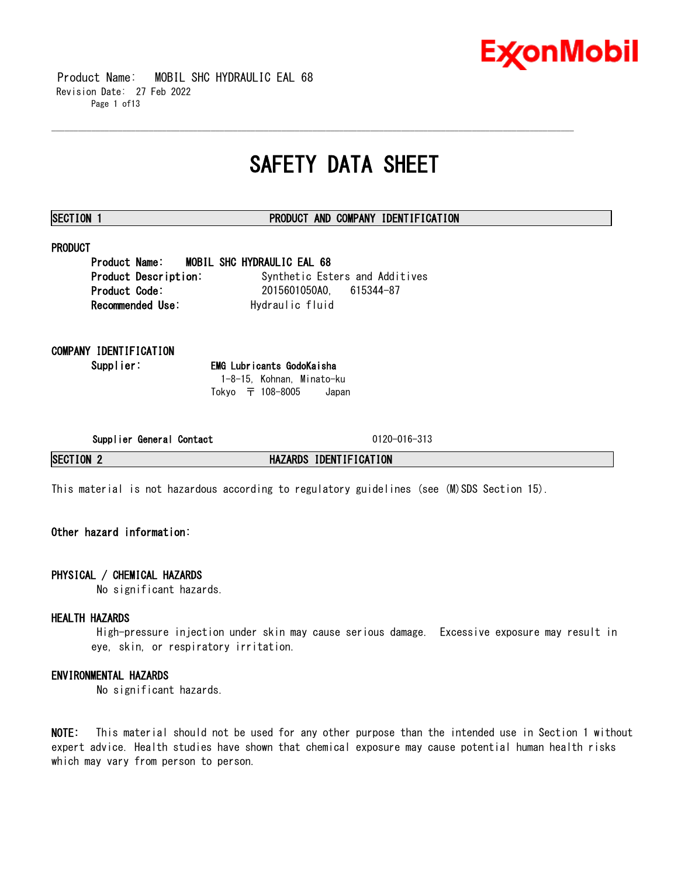

 Product Name: MOBIL SHC HYDRAULIC EAL 68 Revision Date: 27 Feb 2022 Page 1 of13

## **SAFETY DATA SHEET**

\_\_\_\_\_\_\_\_\_\_\_\_\_\_\_\_\_\_\_\_\_\_\_\_\_\_\_\_\_\_\_\_\_\_\_\_\_\_\_\_\_\_\_\_\_\_\_\_\_\_\_\_\_\_\_\_\_\_\_\_\_\_\_\_\_\_\_\_\_\_\_\_\_\_\_\_\_\_\_\_\_\_\_\_\_\_\_\_\_\_\_\_\_\_\_\_\_\_\_\_\_\_\_\_\_\_\_\_\_\_\_\_\_\_\_\_\_\_

#### **SECTION 1 PRODUCT AND COMPANY IDENTIFICATION**

### **PRODUCT**

**Product Name: MOBIL SHC HYDRAULIC EAL 68 Product Description:** Synthetic Esters and Additives **Product Code:** 2015601050A0, 615344-87 Recommended Use: Hydraulic fluid

**COMPANY IDENTIFICATION**

**Supplier: EMG Lubricants GodoKaisha** 1-8-15, Kohnan, Minato-ku Tokyo 〒 108-8005 Japan

**Supplier General Contact** 0120-016-313

**SECTION 2 HAZARDS IDENTIFICATION**

This material is not hazardous according to regulatory guidelines (see (M)SDS Section 15).

### **Other hazard information:**

#### **PHYSICAL / CHEMICAL HAZARDS**

No significant hazards.

#### **HEALTH HAZARDS**

High-pressure injection under skin may cause serious damage. Excessive exposure may result in eye, skin, or respiratory irritation.

### **ENVIRONMENTAL HAZARDS**

No significant hazards.

**NOTE:** This material should not be used for any other purpose than the intended use in Section 1 without expert advice. Health studies have shown that chemical exposure may cause potential human health risks which may vary from person to person.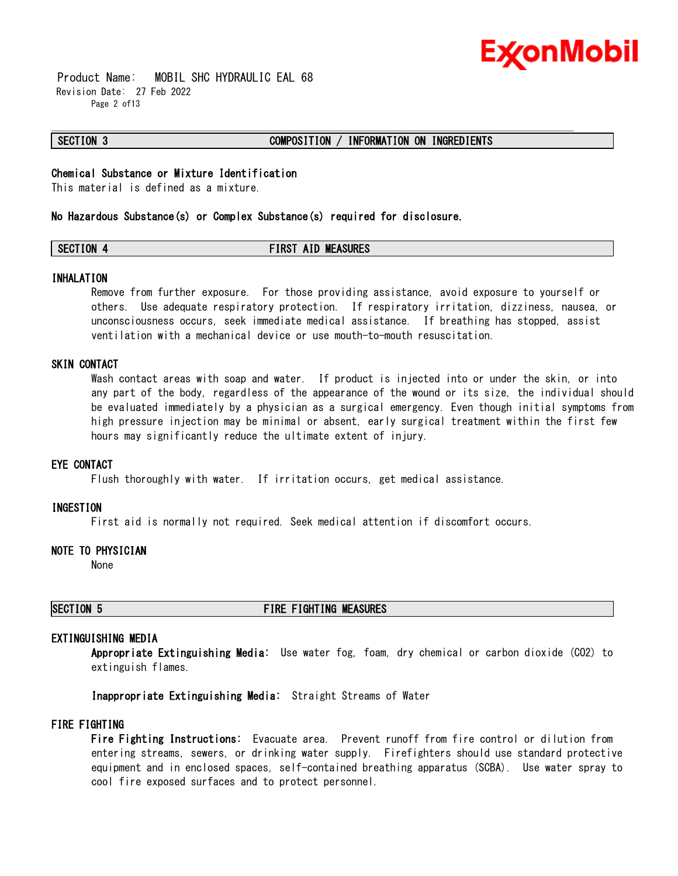

 Product Name: MOBIL SHC HYDRAULIC EAL 68 Revision Date: 27 Feb 2022 Page 2 of13

#### **SECTION 3 COMPOSITION / INFORMATION ON INGREDIENTS**

#### **Chemical Substance or Mixture Identification**

This material is defined as a mixture.

#### **No Hazardous Substance(s) or Complex Substance(s) required for disclosure.**

### **SECTION 4 FIRST AID MEASURES**

\_\_\_\_\_\_\_\_\_\_\_\_\_\_\_\_\_\_\_\_\_\_\_\_\_\_\_\_\_\_\_\_\_\_\_\_\_\_\_\_\_\_\_\_\_\_\_\_\_\_\_\_\_\_\_\_\_\_\_\_\_\_\_\_\_\_\_\_\_\_\_\_\_\_\_\_\_\_\_\_\_\_\_\_\_\_\_\_\_\_\_\_\_\_\_\_\_\_\_\_\_\_\_\_\_\_\_\_\_\_\_\_\_\_\_\_\_\_

#### **INHALATION**

Remove from further exposure. For those providing assistance, avoid exposure to yourself or others. Use adequate respiratory protection. If respiratory irritation, dizziness, nausea, or unconsciousness occurs, seek immediate medical assistance. If breathing has stopped, assist ventilation with a mechanical device or use mouth-to-mouth resuscitation.

#### **SKIN CONTACT**

Wash contact areas with soap and water. If product is injected into or under the skin, or into any part of the body, regardless of the appearance of the wound or its size, the individual should be evaluated immediately by a physician as a surgical emergency. Even though initial symptoms from high pressure injection may be minimal or absent, early surgical treatment within the first few hours may significantly reduce the ultimate extent of injury.

#### **EYE CONTACT**

Flush thoroughly with water. If irritation occurs, get medical assistance.

#### **INGESTION**

First aid is normally not required. Seek medical attention if discomfort occurs.

#### **NOTE TO PHYSICIAN**

None

### **SECTION 5 FIRE FIGHTING MEASURES**

#### **EXTINGUISHING MEDIA**

**Appropriate Extinguishing Media:** Use water fog, foam, dry chemical or carbon dioxide (CO2) to extinguish flames.

**Inappropriate Extinguishing Media:** Straight Streams of Water

#### **FIRE FIGHTING**

**Fire Fighting Instructions:** Evacuate area. Prevent runoff from fire control or dilution from entering streams, sewers, or drinking water supply. Firefighters should use standard protective equipment and in enclosed spaces, self-contained breathing apparatus (SCBA). Use water spray to cool fire exposed surfaces and to protect personnel.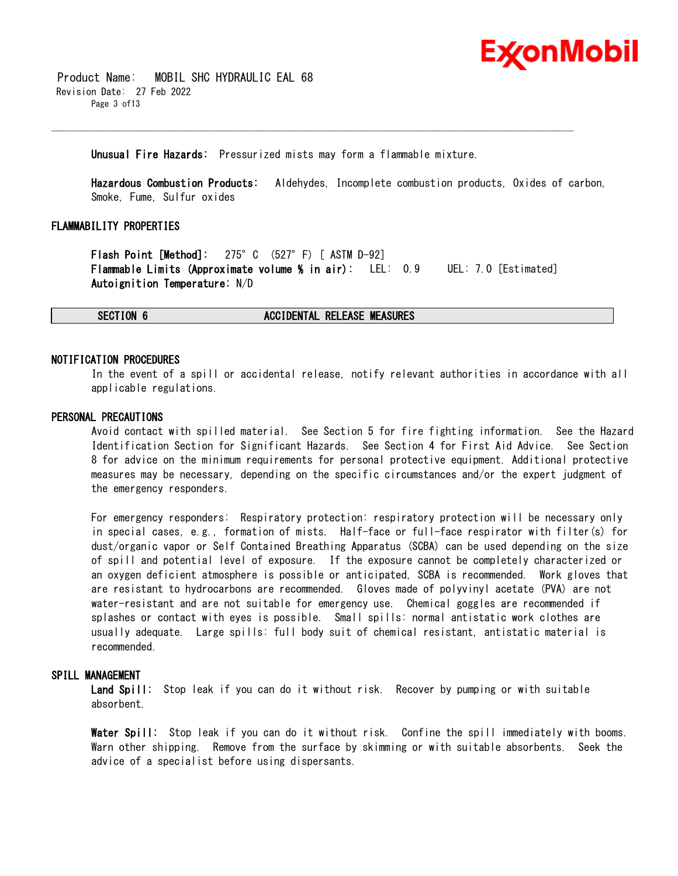

 Product Name: MOBIL SHC HYDRAULIC EAL 68 Revision Date: 27 Feb 2022 Page 3 of13

#### **Unusual Fire Hazards:** Pressurized mists may form a flammable mixture.

\_\_\_\_\_\_\_\_\_\_\_\_\_\_\_\_\_\_\_\_\_\_\_\_\_\_\_\_\_\_\_\_\_\_\_\_\_\_\_\_\_\_\_\_\_\_\_\_\_\_\_\_\_\_\_\_\_\_\_\_\_\_\_\_\_\_\_\_\_\_\_\_\_\_\_\_\_\_\_\_\_\_\_\_\_\_\_\_\_\_\_\_\_\_\_\_\_\_\_\_\_\_\_\_\_\_\_\_\_\_\_\_\_\_\_\_\_\_

**Hazardous Combustion Products:** Aldehydes, Incomplete combustion products, Oxides of carbon, Smoke, Fume, Sulfur oxides

### **FLAMMABILITY PROPERTIES**

**Flash Point [Method]:** 275°C (527°F) [ ASTM D-92] **Flammable Limits (Approximate volume % in air):** LEL: 0.9 UEL: 7.0 [Estimated] **Autoignition Temperature:** N/D

#### **SECTION 6 ACCIDENTAL RELEASE MEASURES**

#### **NOTIFICATION PROCEDURES**

In the event of a spill or accidental release, notify relevant authorities in accordance with all applicable regulations.

#### **PERSONAL PRECAUTIONS**

Avoid contact with spilled material. See Section 5 for fire fighting information. See the Hazard Identification Section for Significant Hazards. See Section 4 for First Aid Advice. See Section 8 for advice on the minimum requirements for personal protective equipment. Additional protective measures may be necessary, depending on the specific circumstances and/or the expert judgment of the emergency responders.

For emergency responders: Respiratory protection: respiratory protection will be necessary only in special cases, e.g., formation of mists. Half-face or full-face respirator with filter(s) for dust/organic vapor or Self Contained Breathing Apparatus (SCBA) can be used depending on the size of spill and potential level of exposure. If the exposure cannot be completely characterized or an oxygen deficient atmosphere is possible or anticipated, SCBA is recommended. Work gloves that are resistant to hydrocarbons are recommended. Gloves made of polyvinyl acetate (PVA) are not water-resistant and are not suitable for emergency use. Chemical goggles are recommended if splashes or contact with eyes is possible. Small spills: normal antistatic work clothes are usually adequate. Large spills: full body suit of chemical resistant, antistatic material is recommended.

#### **SPILL MANAGEMENT**

**Land Spill:** Stop leak if you can do it without risk. Recover by pumping or with suitable absorbent.

**Water Spill:** Stop leak if you can do it without risk. Confine the spill immediately with booms. Warn other shipping. Remove from the surface by skimming or with suitable absorbents. Seek the advice of a specialist before using dispersants.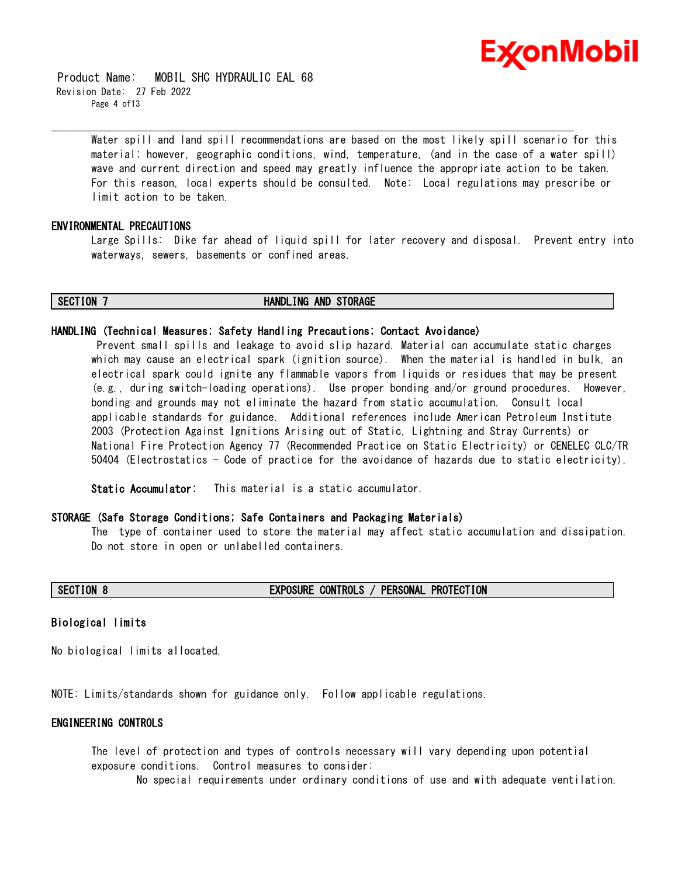

 Product Name: MOBIL SHC HYDRAULIC EAL 68 Revision Date: 27 Feb 2022 Page 4 of13

> Water spill and land spill recommendations are based on the most likely spill scenario for this material; however, geographic conditions, wind, temperature, (and in the case of a water spill) wave and current direction and speed may greatly influence the appropriate action to be taken. For this reason, local experts should be consulted. Note: Local regulations may prescribe or limit action to be taken.

\_\_\_\_\_\_\_\_\_\_\_\_\_\_\_\_\_\_\_\_\_\_\_\_\_\_\_\_\_\_\_\_\_\_\_\_\_\_\_\_\_\_\_\_\_\_\_\_\_\_\_\_\_\_\_\_\_\_\_\_\_\_\_\_\_\_\_\_\_\_\_\_\_\_\_\_\_\_\_\_\_\_\_\_\_\_\_\_\_\_\_\_\_\_\_\_\_\_\_\_\_\_\_\_\_\_\_\_\_\_\_\_\_\_\_\_\_\_

### **ENVIRONMENTAL PRECAUTIONS**

Large Spills: Dike far ahead of liquid spill for later recovery and disposal. Prevent entry into waterways, sewers, basements or confined areas.

#### **SECTION 7 HANDLING AND STORAGE**

#### **HANDLING (Technical Measures; Safety Handling Precautions; Contact Avoidance)**

Prevent small spills and leakage to avoid slip hazard. Material can accumulate static charges which may cause an electrical spark (ignition source). When the material is handled in bulk, an electrical spark could ignite any flammable vapors from liquids or residues that may be present (e.g., during switch-loading operations). Use proper bonding and/or ground procedures. However, bonding and grounds may not eliminate the hazard from static accumulation. Consult local applicable standards for guidance. Additional references include American Petroleum Institute 2003 (Protection Against Ignitions Arising out of Static, Lightning and Stray Currents) or National Fire Protection Agency 77 (Recommended Practice on Static Electricity) or CENELEC CLC/TR 50404 (Electrostatics - Code of practice for the avoidance of hazards due to static electricity).

**Static Accumulator:** This material is a static accumulator.

#### **STORAGE (Safe Storage Conditions; Safe Containers and Packaging Materials)**

The type of container used to store the material may affect static accumulation and dissipation. Do not store in open or unlabelled containers.

#### **SECTION 8 EXPOSURE CONTROLS / PERSONAL PROTECTION**

#### **Biological limits**

No biological limits allocated.

NOTE: Limits/standards shown for guidance only. Follow applicable regulations.

#### **ENGINEERING CONTROLS**

The level of protection and types of controls necessary will vary depending upon potential exposure conditions. Control measures to consider:

No special requirements under ordinary conditions of use and with adequate ventilation.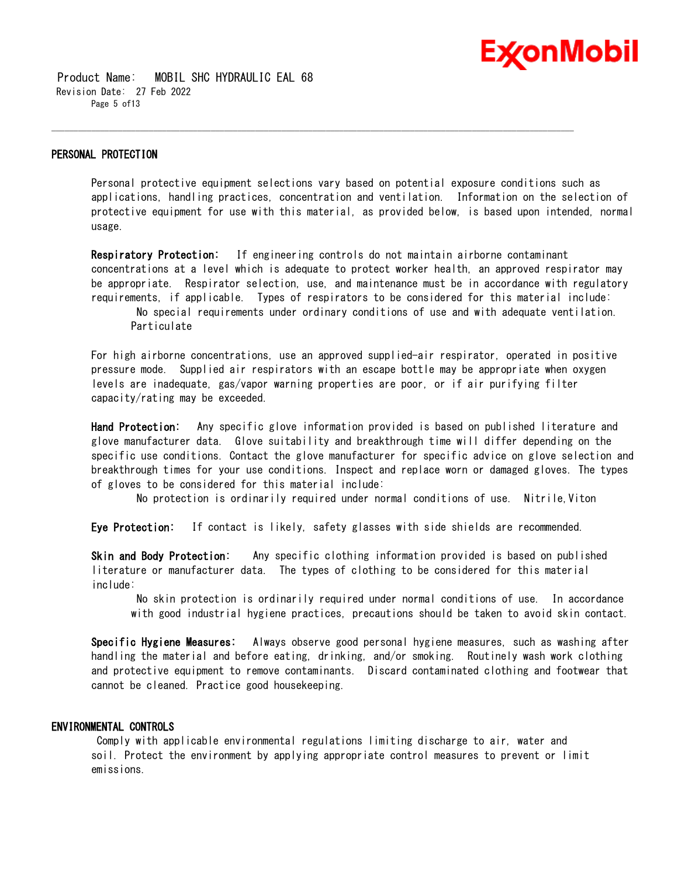

 Product Name: MOBIL SHC HYDRAULIC EAL 68 Revision Date: 27 Feb 2022 Page 5 of13

#### **PERSONAL PROTECTION**

Personal protective equipment selections vary based on potential exposure conditions such as applications, handling practices, concentration and ventilation. Information on the selection of protective equipment for use with this material, as provided below, is based upon intended, normal usage.

\_\_\_\_\_\_\_\_\_\_\_\_\_\_\_\_\_\_\_\_\_\_\_\_\_\_\_\_\_\_\_\_\_\_\_\_\_\_\_\_\_\_\_\_\_\_\_\_\_\_\_\_\_\_\_\_\_\_\_\_\_\_\_\_\_\_\_\_\_\_\_\_\_\_\_\_\_\_\_\_\_\_\_\_\_\_\_\_\_\_\_\_\_\_\_\_\_\_\_\_\_\_\_\_\_\_\_\_\_\_\_\_\_\_\_\_\_\_

**Respiratory Protection:** If engineering controls do not maintain airborne contaminant concentrations at a level which is adequate to protect worker health, an approved respirator may be appropriate. Respirator selection, use, and maintenance must be in accordance with regulatory requirements, if applicable. Types of respirators to be considered for this material include: No special requirements under ordinary conditions of use and with adequate ventilation. Particulate

For high airborne concentrations, use an approved supplied-air respirator, operated in positive pressure mode. Supplied air respirators with an escape bottle may be appropriate when oxygen levels are inadequate, gas/vapor warning properties are poor, or if air purifying filter capacity/rating may be exceeded.

**Hand Protection:** Any specific glove information provided is based on published literature and glove manufacturer data. Glove suitability and breakthrough time will differ depending on the specific use conditions. Contact the glove manufacturer for specific advice on glove selection and breakthrough times for your use conditions. Inspect and replace worn or damaged gloves. The types of gloves to be considered for this material include:

No protection is ordinarily required under normal conditions of use. Nitrile,Viton

**Eye Protection:** If contact is likely, safety glasses with side shields are recommended.

**Skin and Body Protection:** Any specific clothing information provided is based on published literature or manufacturer data. The types of clothing to be considered for this material include:

No skin protection is ordinarily required under normal conditions of use. In accordance with good industrial hygiene practices, precautions should be taken to avoid skin contact.

**Specific Hygiene Measures:** Always observe good personal hygiene measures, such as washing after handling the material and before eating, drinking, and/or smoking. Routinely wash work clothing and protective equipment to remove contaminants. Discard contaminated clothing and footwear that cannot be cleaned. Practice good housekeeping.

#### **ENVIRONMENTAL CONTROLS**

Comply with applicable environmental regulations limiting discharge to air, water and soil. Protect the environment by applying appropriate control measures to prevent or limit emissions.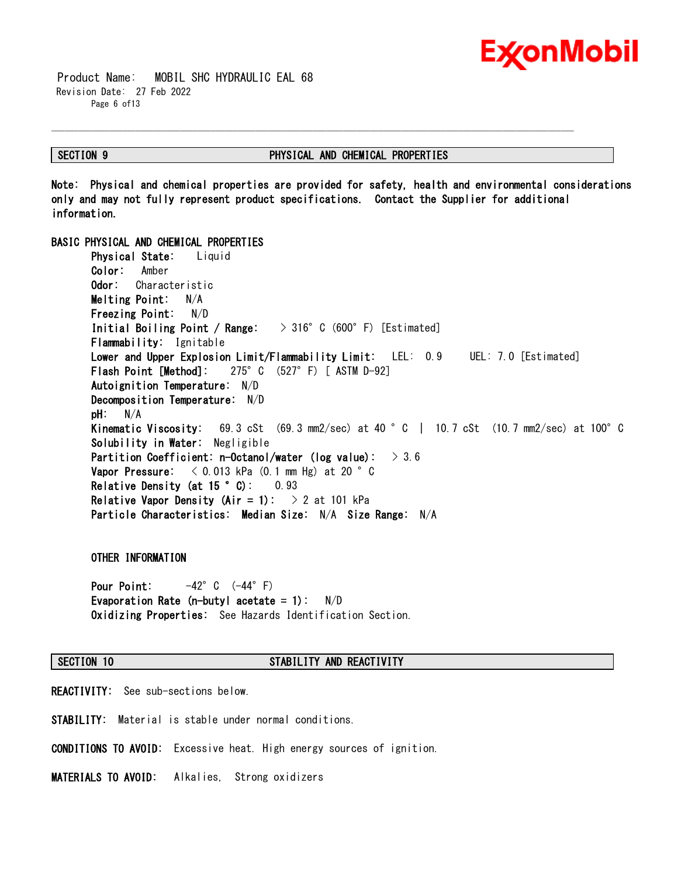

 Product Name: MOBIL SHC HYDRAULIC EAL 68 Revision Date: 27 Feb 2022 Page 6 of 13

#### **SECTION 9 PHYSICAL AND CHEMICAL PROPERTIES**

**Note: Physical and chemical properties are provided for safety, health and environmental considerations only and may not fully represent product specifications. Contact the Supplier for additional information.**

\_\_\_\_\_\_\_\_\_\_\_\_\_\_\_\_\_\_\_\_\_\_\_\_\_\_\_\_\_\_\_\_\_\_\_\_\_\_\_\_\_\_\_\_\_\_\_\_\_\_\_\_\_\_\_\_\_\_\_\_\_\_\_\_\_\_\_\_\_\_\_\_\_\_\_\_\_\_\_\_\_\_\_\_\_\_\_\_\_\_\_\_\_\_\_\_\_\_\_\_\_\_\_\_\_\_\_\_\_\_\_\_\_\_\_\_\_\_

#### **BASIC PHYSICAL AND CHEMICAL PROPERTIES**

**Physical State:** Liquid **Color:** Amber **Odor:** Characteristic **Melting Point:** N/A **Freezing Point:** N/D **Initial Boiling Point / Range:** > 316°C (600°F) [Estimated] **Flammability:** Ignitable **Lower and Upper Explosion Limit/Flammability Limit:** LEL: 0.9 UEL: 7.0 [Estimated] **Flash Point [Method]:** 275°C (527°F) [ ASTM D-92] **Autoignition Temperature:** N/D **Decomposition Temperature:** N/D **pH:** N/A **Kinematic Viscosity:** 69.3 cSt (69.3 mm2/sec) at 40 °C | 10.7 cSt (10.7 mm2/sec) at 100°C **Solubility in Water:** Negligible **Partition Coefficient: n-Octanol/water (log value):** > 3.6 **Vapor Pressure:** < 0.013 kPa (0.1 mm Hg) at 20 °C **Relative Density (at 15 °C):** 0.93 **Relative Vapor Density (Air = 1):** > 2 at 101 kPa **Particle Characteristics: Median Size:** N/A **Size Range:** N/A

#### **OTHER INFORMATION**

**Pour Point:** -42°C (-44°F) **Evaporation Rate (n-butyl acetate = 1):** N/D **Oxidizing Properties:** See Hazards Identification Section.

#### **SECTION 10 STABILITY AND REACTIVITY**

**REACTIVITY:** See sub-sections below.

**STABILITY:** Material is stable under normal conditions.

**CONDITIONS TO AVOID:** Excessive heat. High energy sources of ignition.

**MATERIALS TO AVOID:** Alkalies, Strong oxidizers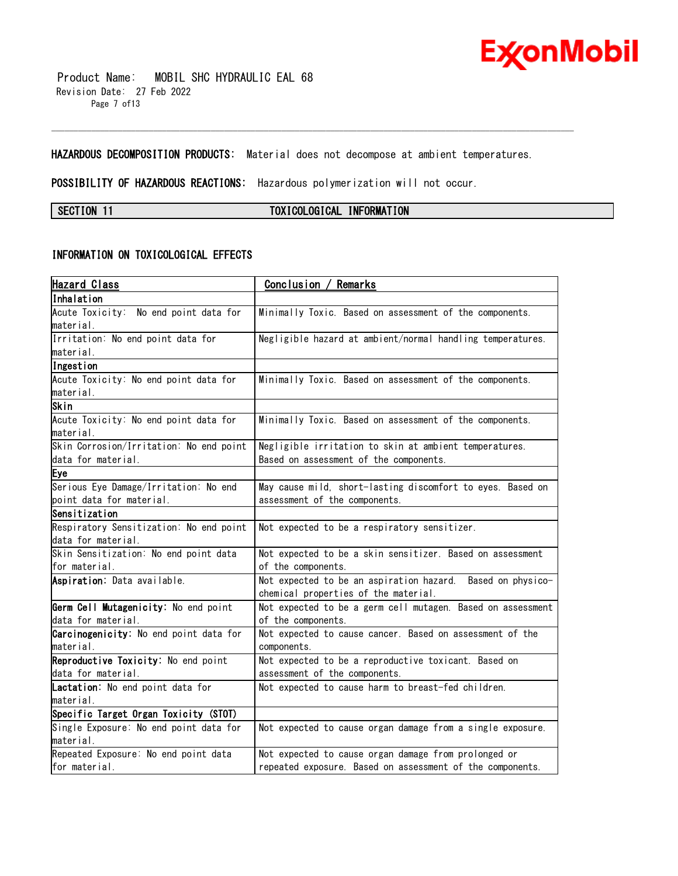

 Product Name: MOBIL SHC HYDRAULIC EAL 68 Revision Date: 27 Feb 2022 Page 7 of13

**HAZARDOUS DECOMPOSITION PRODUCTS:** Material does not decompose at ambient temperatures.

\_\_\_\_\_\_\_\_\_\_\_\_\_\_\_\_\_\_\_\_\_\_\_\_\_\_\_\_\_\_\_\_\_\_\_\_\_\_\_\_\_\_\_\_\_\_\_\_\_\_\_\_\_\_\_\_\_\_\_\_\_\_\_\_\_\_\_\_\_\_\_\_\_\_\_\_\_\_\_\_\_\_\_\_\_\_\_\_\_\_\_\_\_\_\_\_\_\_\_\_\_\_\_\_\_\_\_\_\_\_\_\_\_\_\_\_\_\_

**POSSIBILITY OF HAZARDOUS REACTIONS:** Hazardous polymerization will not occur.

**SECTION 11 TOXICOLOGICAL INFORMATION**

### **INFORMATION ON TOXICOLOGICAL EFFECTS**

| <u>Hazard Class</u>                     | <u>Conclusion / Remarks</u>                                 |  |  |
|-----------------------------------------|-------------------------------------------------------------|--|--|
| Inhalation                              |                                                             |  |  |
| Acute Toxicity: No end point data for   | Minimally Toxic. Based on assessment of the components.     |  |  |
| material.                               |                                                             |  |  |
| Irritation: No end point data for       | Negligible hazard at ambient/normal handling temperatures.  |  |  |
| material.                               |                                                             |  |  |
| Ingestion                               |                                                             |  |  |
| Acute Toxicity: No end point data for   | Minimally Toxic. Based on assessment of the components.     |  |  |
| material.                               |                                                             |  |  |
| Skin                                    |                                                             |  |  |
| Acute Toxicity: No end point data for   | Minimally Toxic. Based on assessment of the components.     |  |  |
| material.                               |                                                             |  |  |
| Skin Corrosion/Irritation: No end point | Negligible irritation to skin at ambient temperatures.      |  |  |
| data for material.                      | Based on assessment of the components.                      |  |  |
| Eye                                     |                                                             |  |  |
| Serious Eye Damage/Irritation: No end   | May cause mild, short-lasting discomfort to eyes. Based on  |  |  |
| point data for material.                | assessment of the components.                               |  |  |
| Sensitization                           |                                                             |  |  |
| Respiratory Sensitization: No end point | Not expected to be a respiratory sensitizer.                |  |  |
| data for material.                      |                                                             |  |  |
| Skin Sensitization: No end point data   | Not expected to be a skin sensitizer. Based on assessment   |  |  |
| for material.                           | of the components.                                          |  |  |
| Aspiration: Data available.             | Not expected to be an aspiration hazard. Based on physico-  |  |  |
|                                         | chemical properties of the material.                        |  |  |
| Germ Cell Mutagenicity: No end point    | Not expected to be a germ cell mutagen. Based on assessment |  |  |
| data for material.                      | of the components.                                          |  |  |
| Carcinogenicity: No end point data for  | Not expected to cause cancer. Based on assessment of the    |  |  |
| material.                               | components.                                                 |  |  |
| Reproductive Toxicity: No end point     | Not expected to be a reproductive toxicant. Based on        |  |  |
| data for material.                      | assessment of the components.                               |  |  |
| Lactation: No end point data for        | Not expected to cause harm to breast-fed children.          |  |  |
| material.                               |                                                             |  |  |
| Specific Target Organ Toxicity (STOT)   |                                                             |  |  |
| Single Exposure: No end point data for  | Not expected to cause organ damage from a single exposure.  |  |  |
| material.                               |                                                             |  |  |
| Repeated Exposure: No end point data    | Not expected to cause organ damage from prolonged or        |  |  |
| for material.                           | repeated exposure. Based on assessment of the components.   |  |  |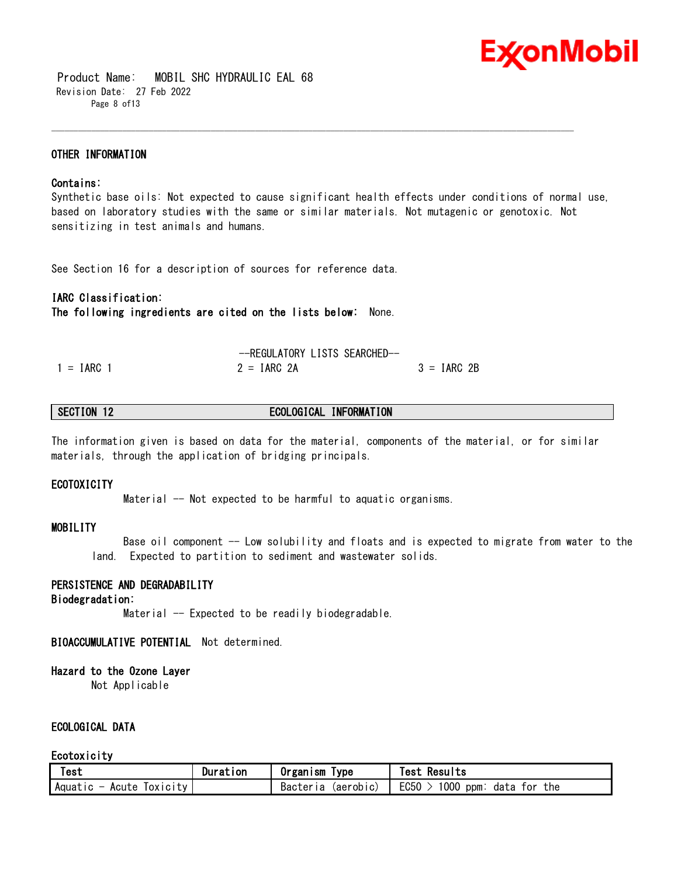

 Product Name: MOBIL SHC HYDRAULIC EAL 68 Revision Date: 27 Feb 2022 Page 8 of13

#### **OTHER INFORMATION**

#### **Contains:**

Synthetic base oils: Not expected to cause significant health effects under conditions of normal use, based on laboratory studies with the same or similar materials. Not mutagenic or genotoxic. Not sensitizing in test animals and humans.

\_\_\_\_\_\_\_\_\_\_\_\_\_\_\_\_\_\_\_\_\_\_\_\_\_\_\_\_\_\_\_\_\_\_\_\_\_\_\_\_\_\_\_\_\_\_\_\_\_\_\_\_\_\_\_\_\_\_\_\_\_\_\_\_\_\_\_\_\_\_\_\_\_\_\_\_\_\_\_\_\_\_\_\_\_\_\_\_\_\_\_\_\_\_\_\_\_\_\_\_\_\_\_\_\_\_\_\_\_\_\_\_\_\_\_\_\_\_

See Section 16 for a description of sources for reference data.

#### **IARC Classification: The following ingredients are cited on the lists below:** None.

|              | -REGULATORY LISTS SEARCHED- |               |
|--------------|-----------------------------|---------------|
| $1 = IARC 1$ | $2 = IARC 2A$               | $3 = IARC 2B$ |

#### **SECTION 12 ECOLOGICAL INFORMATION**

The information given is based on data for the material, components of the material, or for similar materials, through the application of bridging principals.

#### **ECOTOXICITY**

Material -- Not expected to be harmful to aquatic organisms.

#### **MOBILITY**

 Base oil component -- Low solubility and floats and is expected to migrate from water to the land. Expected to partition to sediment and wastewater solids.

#### **PERSISTENCE AND DEGRADABILITY**

#### **Biodegradation:**

Material -- Expected to be readily biodegradable.

#### **BIOACCUMULATIVE POTENTIAL** Not determined.

#### **Hazard to the Ozone Layer**

Not Applicable

#### **ECOLOGICAL DATA**

#### **Ecotoxicity**

| <b>Test</b>                      | Duration | <b>Organism</b><br><b>lype</b> | Results<br>Test                                         |
|----------------------------------|----------|--------------------------------|---------------------------------------------------------|
| Aquatic $-$<br>TOXICITY<br>Acute |          | Bacteria<br>(aerob c)          | EC <sub>50</sub><br>1000<br>the<br>: ppm<br>data<br>tor |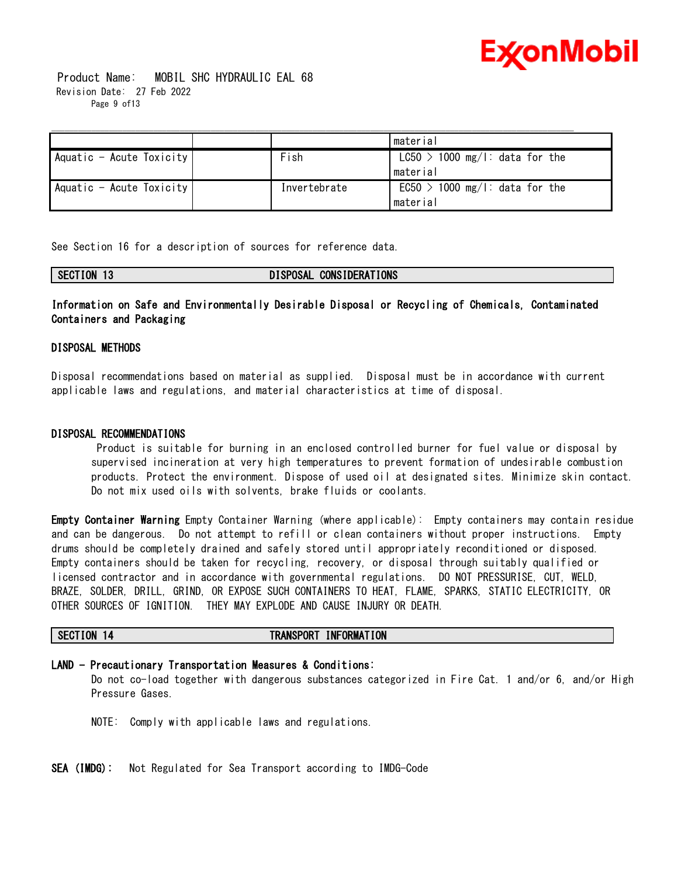

 Product Name: MOBIL SHC HYDRAULIC EAL 68 Revision Date: 27 Feb 2022 Page 9 of13

|                          |              | material                         |
|--------------------------|--------------|----------------------------------|
| Aquatic - Acute Toxicity | Fish         | $LC50 > 1000$ mg/l: data for the |
|                          |              | material                         |
| Aquatic - Acute Toxicity | Invertebrate | $EC50 > 1000$ mg/l: data for the |
|                          |              | material                         |

See Section 16 for a description of sources for reference data.

| SECTION 13 | DISPOSAL CONSIDERATIONS |
|------------|-------------------------|
|            |                         |

### **Information on Safe and Environmentally Desirable Disposal or Recycling of Chemicals, Contaminated Containers and Packaging**

#### **DISPOSAL METHODS**

Disposal recommendations based on material as supplied. Disposal must be in accordance with current applicable laws and regulations, and material characteristics at time of disposal.

#### **DISPOSAL RECOMMENDATIONS**

Product is suitable for burning in an enclosed controlled burner for fuel value or disposal by supervised incineration at very high temperatures to prevent formation of undesirable combustion products. Protect the environment. Dispose of used oil at designated sites. Minimize skin contact. Do not mix used oils with solvents, brake fluids or coolants.

**Empty Container Warning** Empty Container Warning (where applicable): Empty containers may contain residue and can be dangerous. Do not attempt to refill or clean containers without proper instructions. Empty drums should be completely drained and safely stored until appropriately reconditioned or disposed. Empty containers should be taken for recycling, recovery, or disposal through suitably qualified or licensed contractor and in accordance with governmental regulations. DO NOT PRESSURISE, CUT, WELD, BRAZE, SOLDER, DRILL, GRIND, OR EXPOSE SUCH CONTAINERS TO HEAT, FLAME, SPARKS, STATIC ELECTRICITY, OR OTHER SOURCES OF IGNITION. THEY MAY EXPLODE AND CAUSE INJURY OR DEATH.

### **SECTION 14 TRANSPORT INFORMATION**

#### **LAND - Precautionary Transportation Measures & Conditions:**

Do not co-load together with dangerous substances categorized in Fire Cat. 1 and/or 6, and/or High Pressure Gases.

NOTE: Comply with applicable laws and regulations.

**SEA (IMDG):** Not Regulated for Sea Transport according to IMDG-Code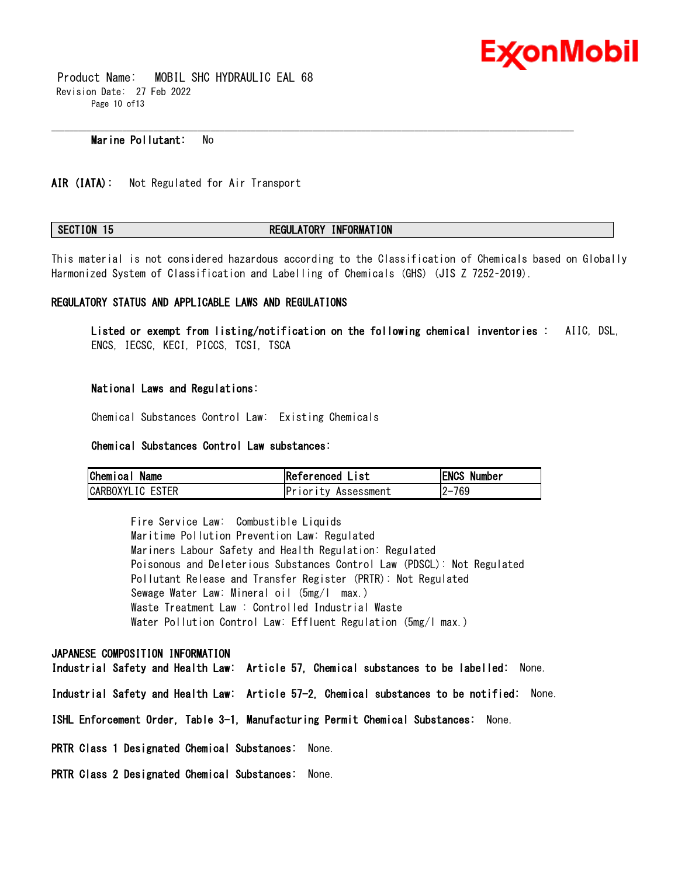

 Product Name: MOBIL SHC HYDRAULIC EAL 68 Revision Date: 27 Feb 2022 Page 10 of13

#### **Marine Pollutant:** No

**AIR (IATA):** Not Regulated for Air Transport

#### **SECTION 15 REGULATORY INFORMATION**

This material is not considered hazardous according to the Classification of Chemicals based on Globally Harmonized System of Classification and Labelling of Chemicals (GHS) (JIS Z 7252–2019).

\_\_\_\_\_\_\_\_\_\_\_\_\_\_\_\_\_\_\_\_\_\_\_\_\_\_\_\_\_\_\_\_\_\_\_\_\_\_\_\_\_\_\_\_\_\_\_\_\_\_\_\_\_\_\_\_\_\_\_\_\_\_\_\_\_\_\_\_\_\_\_\_\_\_\_\_\_\_\_\_\_\_\_\_\_\_\_\_\_\_\_\_\_\_\_\_\_\_\_\_\_\_\_\_\_\_\_\_\_\_\_\_\_\_\_\_\_\_

#### **REGULATORY STATUS AND APPLICABLE LAWS AND REGULATIONS**

**Listed or exempt from listing/notification on the following chemical inventories :** AIIC, DSL, ENCS, IECSC, KECI, PICCS, TCSI, TSCA

#### **National Laws and Regulations:**

Chemical Substances Control Law: Existing Chemicals

#### **Chemical Substances Control Law substances:**

| Chemical Name    | Referenced List            | <b>ENCS Number</b> |
|------------------|----------------------------|--------------------|
| CARBOXYLIC ESTER | <b>Priority Assessment</b> | 2-769              |

Fire Service Law: Combustible Liquids Maritime Pollution Prevention Law: Regulated Mariners Labour Safety and Health Regulation: Regulated Poisonous and Deleterious Substances Control Law (PDSCL): Not Regulated Pollutant Release and Transfer Register (PRTR): Not Regulated Sewage Water Law: Mineral oil (5mg/l max.) Waste Treatment Law : Controlled Industrial Waste Water Pollution Control Law: Effluent Regulation (5mg/l max.)

#### **JAPANESE COMPOSITION INFORMATION**

**Industrial Safety and Health Law: Article 57, Chemical substances to be labelled:** None. **Industrial Safety and Health Law: Article 57-2, Chemical substances to be notified:** None. **ISHL Enforcement Order, Table 3-1, Manufacturing Permit Chemical Substances:** None. **PRTR Class 1 Designated Chemical Substances:** None. **PRTR Class 2 Designated Chemical Substances:** None.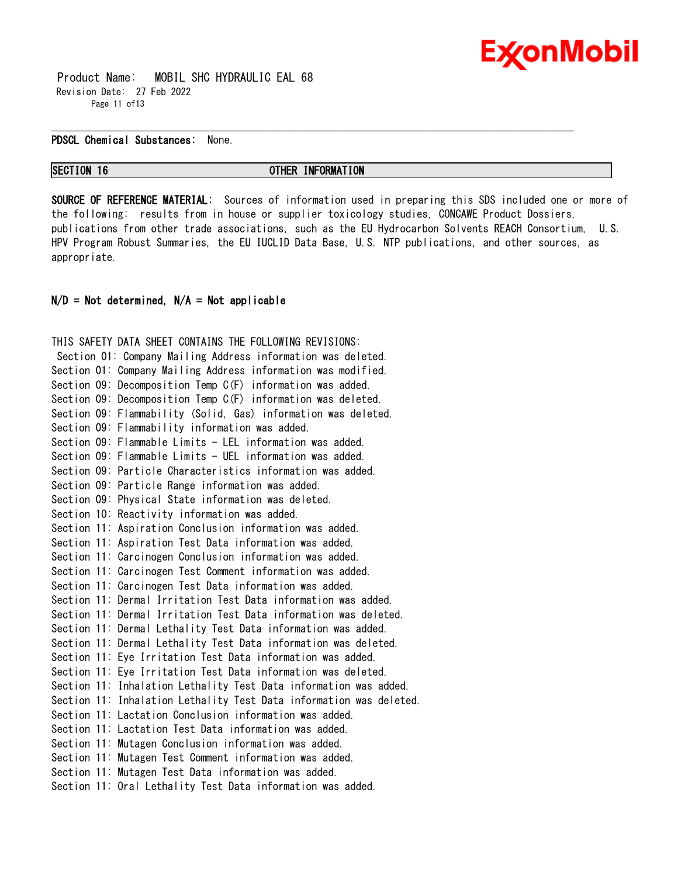

 Product Name: MOBIL SHC HYDRAULIC EAL 68 Revision Date: 27 Feb 2022 Page 11 of 13

#### **PDSCL Chemical Substances:** None.

**SECTION 16 OTHER INFORMATION**

\_\_\_\_\_\_\_\_\_\_\_\_\_\_\_\_\_\_\_\_\_\_\_\_\_\_\_\_\_\_\_\_\_\_\_\_\_\_\_\_\_\_\_\_\_\_\_\_\_\_\_\_\_\_\_\_\_\_\_\_\_\_\_\_\_\_\_\_\_\_\_\_\_\_\_\_\_\_\_\_\_\_\_\_\_\_\_\_\_\_\_\_\_\_\_\_\_\_\_\_\_\_\_\_\_\_\_\_\_\_\_\_\_\_\_\_\_\_

**SOURCE OF REFERENCE MATERIAL:** Sources of information used in preparing this SDS included one or more of the following: results from in house or supplier toxicology studies, CONCAWE Product Dossiers, publications from other trade associations, such as the EU Hydrocarbon Solvents REACH Consortium, U.S. HPV Program Robust Summaries, the EU IUCLID Data Base, U.S. NTP publications, and other sources, as appropriate.

#### **N/D = Not determined, N/A = Not applicable**

THIS SAFETY DATA SHEET CONTAINS THE FOLLOWING REVISIONS: Section 01: Company Mailing Address information was deleted. Section 01: Company Mailing Address information was modified. Section 09: Decomposition Temp C(F) information was added. Section 09: Decomposition Temp C(F) information was deleted. Section 09: Flammability (Solid, Gas) information was deleted. Section 09: Flammability information was added. Section 09: Flammable Limits - LEL information was added. Section 09: Flammable Limits - UEL information was added. Section 09: Particle Characteristics information was added. Section 09: Particle Range information was added. Section 09: Physical State information was deleted. Section 10: Reactivity information was added. Section 11: Aspiration Conclusion information was added. Section 11: Aspiration Test Data information was added. Section 11: Carcinogen Conclusion information was added. Section 11: Carcinogen Test Comment information was added. Section 11: Carcinogen Test Data information was added. Section 11: Dermal Irritation Test Data information was added. Section 11: Dermal Irritation Test Data information was deleted. Section 11: Dermal Lethality Test Data information was added. Section 11: Dermal Lethality Test Data information was deleted. Section 11: Eye Irritation Test Data information was added. Section 11: Eye Irritation Test Data information was deleted. Section 11: Inhalation Lethality Test Data information was added. Section 11: Inhalation Lethality Test Data information was deleted. Section 11: Lactation Conclusion information was added. Section 11: Lactation Test Data information was added. Section 11: Mutagen Conclusion information was added. Section 11: Mutagen Test Comment information was added. Section 11: Mutagen Test Data information was added. Section 11: Oral Lethality Test Data information was added.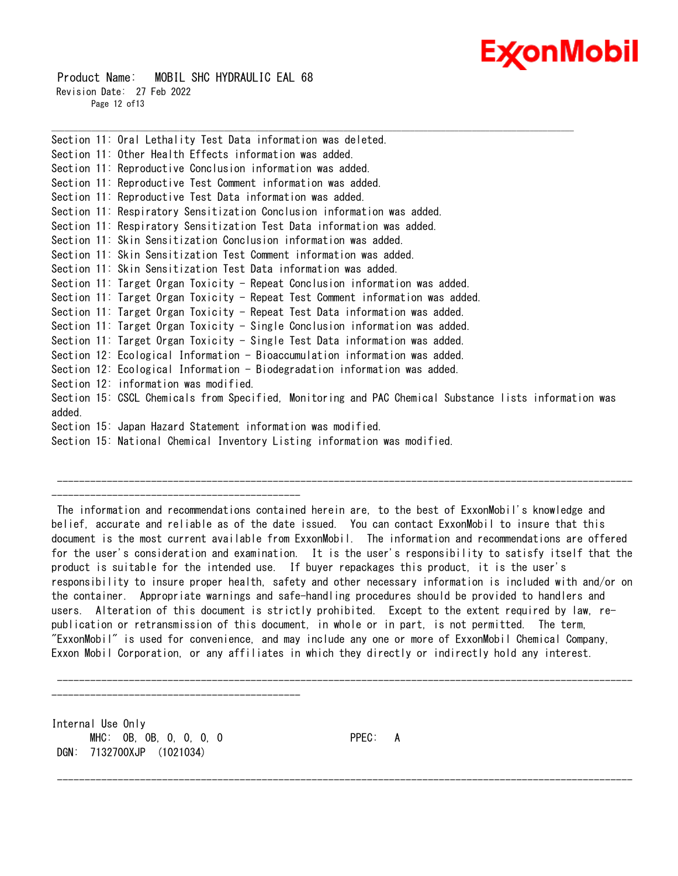# Ex⁄onMobil

 Product Name: MOBIL SHC HYDRAULIC EAL 68 Revision Date: 27 Feb 2022 Page 12 of13

Section 11: Oral Lethality Test Data information was deleted. Section 11: Other Health Effects information was added. Section 11: Reproductive Conclusion information was added. Section 11: Reproductive Test Comment information was added. Section 11: Reproductive Test Data information was added. Section 11: Respiratory Sensitization Conclusion information was added. Section 11: Respiratory Sensitization Test Data information was added. Section 11: Skin Sensitization Conclusion information was added. Section 11: Skin Sensitization Test Comment information was added. Section 11: Skin Sensitization Test Data information was added. Section 11: Target Organ Toxicity - Repeat Conclusion information was added. Section 11: Target Organ Toxicity - Repeat Test Comment information was added. Section 11: Target Organ Toxicity - Repeat Test Data information was added. Section 11: Target Organ Toxicity - Single Conclusion information was added. Section 11: Target Organ Toxicity - Single Test Data information was added. Section 12: Ecological Information - Bioaccumulation information was added. Section 12: Ecological Information - Biodegradation information was added. Section 12: information was modified. Section 15: CSCL Chemicals from Specified, Monitoring and PAC Chemical Substance lists information was added. Section 15: Japan Hazard Statement information was modified. Section 15: National Chemical Inventory Listing information was modified.

\_\_\_\_\_\_\_\_\_\_\_\_\_\_\_\_\_\_\_\_\_\_\_\_\_\_\_\_\_\_\_\_\_\_\_\_\_\_\_\_\_\_\_\_\_\_\_\_\_\_\_\_\_\_\_\_\_\_\_\_\_\_\_\_\_\_\_\_\_\_\_\_\_\_\_\_\_\_\_\_\_\_\_\_\_\_\_\_\_\_\_\_\_\_\_\_\_\_\_\_\_\_\_\_\_\_\_\_\_\_\_\_\_\_\_\_\_\_

--------------------------------------------- The information and recommendations contained herein are, to the best of ExxonMobil's knowledge and belief, accurate and reliable as of the date issued. You can contact ExxonMobil to insure that this document is the most current available from ExxonMobil. The information and recommendations are offered for the user's consideration and examination. It is the user's responsibility to satisfy itself that the product is suitable for the intended use. If buyer repackages this product, it is the user's responsibility to insure proper health, safety and other necessary information is included with and/or on the container. Appropriate warnings and safe-handling procedures should be provided to handlers and users. Alteration of this document is strictly prohibited. Except to the extent required by law, republication or retransmission of this document, in whole or in part, is not permitted. The term, "ExxonMobil" is used for convenience, and may include any one or more of ExxonMobil Chemical Company, Exxon Mobil Corporation, or any affiliates in which they directly or indirectly hold any interest.

--------------------------------------------------------------------------------------------------------

--------------------------------------------------------------------------------------------------------

--------------------------------------------------------------------------------------------------------

Internal Use Only MHC: 0B, 0B, 0, 0, 0, 0 PPEC: A DGN: 7132700XJP (1021034)

---------------------------------------------